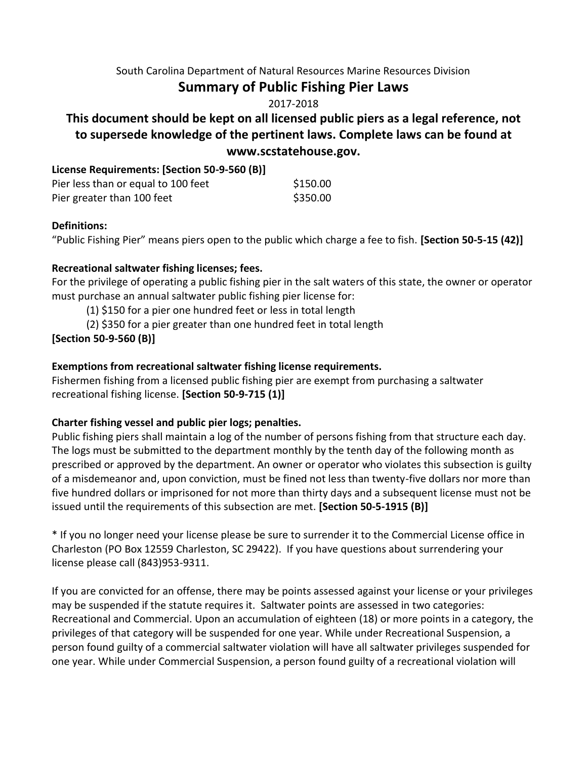#### South Carolina Department of Natural Resources Marine Resources Division

## **Summary of Public Fishing Pier Laws**

2017-2018

# **This document should be kept on all licensed public piers as a legal reference, not to supersede knowledge of the pertinent laws. Complete laws can be found at www.scstatehouse.gov.**

| License Requirements: [Section 50-9-560 (B)] |          |
|----------------------------------------------|----------|
| Pier less than or equal to 100 feet          | \$150.00 |
| Pier greater than 100 feet                   | \$350.00 |

#### **Definitions:**

"Public Fishing Pier" means piers open to the public which charge a fee to fish. **[Section 50-5-15 (42)]** 

#### **Recreational saltwater fishing licenses; fees.**

For the privilege of operating a public fishing pier in the salt waters of this state, the owner or operator must purchase an annual saltwater public fishing pier license for:

(1) \$150 for a pier one hundred feet or less in total length

(2) \$350 for a pier greater than one hundred feet in total length

## **[Section 50-9-560 (B)]**

### **Exemptions from recreational saltwater fishing license requirements.**

Fishermen fishing from a licensed public fishing pier are exempt from purchasing a saltwater recreational fishing license. **[Section 50-9-715 (1)]** 

#### **Charter fishing vessel and public pier logs; penalties.**

Public fishing piers shall maintain a log of the number of persons fishing from that structure each day. The logs must be submitted to the department monthly by the tenth day of the following month as prescribed or approved by the department. An owner or operator who violates this subsection is guilty of a misdemeanor and, upon conviction, must be fined not less than twenty-five dollars nor more than five hundred dollars or imprisoned for not more than thirty days and a subsequent license must not be issued until the requirements of this subsection are met. **[Section 50-5-1915 (B)]** 

\* If you no longer need your license please be sure to surrender it to the Commercial License office in Charleston (PO Box 12559 Charleston, SC 29422). If you have questions about surrendering your license please call (843)953-9311.

If you are convicted for an offense, there may be points assessed against your license or your privileges may be suspended if the statute requires it. Saltwater points are assessed in two categories: Recreational and Commercial. Upon an accumulation of eighteen (18) or more points in a category, the privileges of that category will be suspended for one year. While under Recreational Suspension, a person found guilty of a commercial saltwater violation will have all saltwater privileges suspended for one year. While under Commercial Suspension, a person found guilty of a recreational violation will